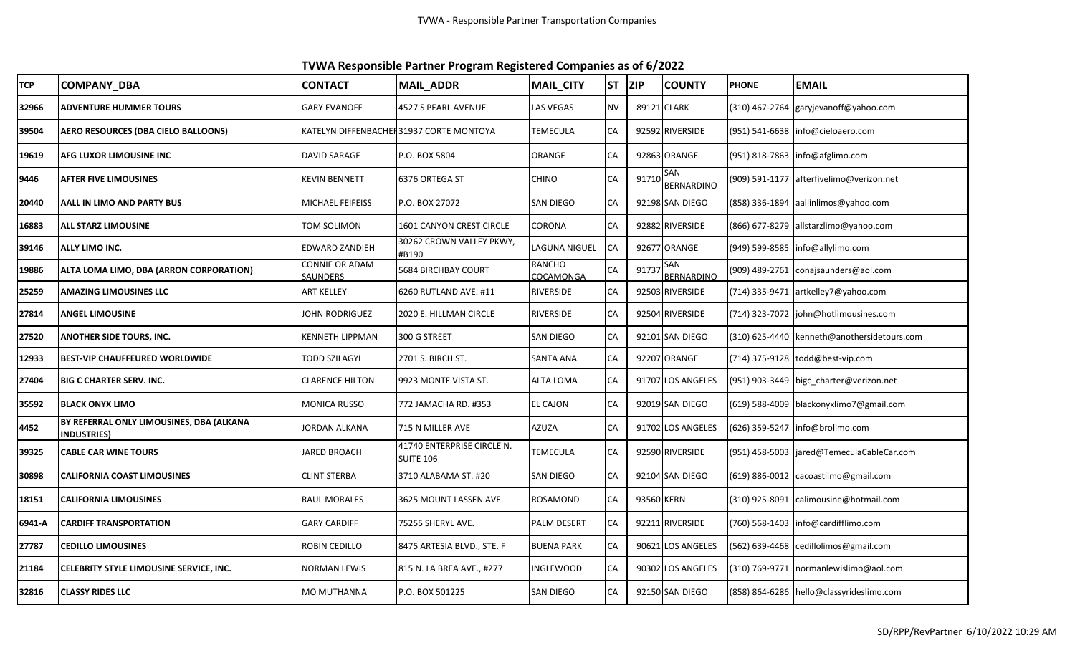**TVWA Responsible Partner Program Registered Companies as of 6/2022**

| <b>TCP</b> | <b>COMPANY DBA</b>                                              | <b>CONTACT</b>                    | <b>MAIL_ADDR</b>                         | MAIL_CITY                  | lst       | <b>ZIP</b> | <b>COUNTY</b>            | <b>PHONE</b> | <b>EMAIL</b>                                |
|------------|-----------------------------------------------------------------|-----------------------------------|------------------------------------------|----------------------------|-----------|------------|--------------------------|--------------|---------------------------------------------|
| 32966      | <b>ADVENTURE HUMMER TOURS</b>                                   | <b>GARY EVANOFF</b>               | 4527 S PEARL AVENUE                      | LAS VEGAS                  | <b>NV</b> |            | 89121 CLARK              |              | (310) 467-2764 garyjevanoff@yahoo.com       |
| 39504      | <b>AERO RESOURCES (DBA CIELO BALLOONS)</b>                      |                                   | KATELYN DIFFENBACHEI 31937 CORTE MONTOYA | TEMECULA                   | CA        |            | 92592 RIVERSIDE          |              | (951) 541-6638 info@cieloaero.com           |
| 19619      | <b>AFG LUXOR LIMOUSINE INC</b>                                  | DAVID SARAGE                      | P.O. BOX 5804                            | ORANGE                     | <b>CA</b> |            | 92863 ORANGE             |              | (951) 818-7863 info@afglimo.com             |
| 9446       | <b>AFTER FIVE LIMOUSINES</b>                                    | (EVIN BENNETT                     | 6376 ORTEGA ST                           | <b>CHINO</b>               | CA        | 91710      | SAN<br><b>BERNARDINO</b> |              | (909) 591-1177 afterfivelimo@verizon.net    |
| 20440      | AALL IN LIMO AND PARTY BUS                                      | MICHAEL FEIFEISS                  | P.O. BOX 27072                           | <b>SAN DIEGO</b>           | CA        |            | 92198 SAN DIEGO          |              | (858) 336-1894 aallinlimos@yahoo.com        |
| 16883      | <b>ALL STARZ LIMOUSINE</b>                                      | TOM SOLIMON                       | 1601 CANYON CREST CIRCLE                 | CORONA                     | CA        |            | 92882 RIVERSIDE          |              | (866) 677-8279 allstarzlimo@yahoo.com       |
| 39146      | <b>ALLY LIMO INC.</b>                                           | EDWARD ZANDIEH                    | 30262 CROWN VALLEY PKWY,<br>#B190        | LAGUNA NIGUEL              | <b>CA</b> |            | 92677 ORANGE             |              | (949) 599-8585 info@allylimo.com            |
| 19886      | ALTA LOMA LIMO, DBA (ARRON CORPORATION)                         | CONNIE OR ADAM<br><b>SAUNDERS</b> | 5684 BIRCHBAY COURT                      | <b>RANCHO</b><br>COCAMONGA | CA        | 91737      | San<br><b>BERNARDINO</b> |              | (909) 489-2761 conajsaunders@aol.com        |
| 25259      | <b>AMAZING LIMOUSINES LLC</b>                                   | ART KELLEY                        | 6260 RUTLAND AVE. #11                    | RIVERSIDE                  | CA        |            | 92503 RIVERSIDE          |              | (714) 335-9471 artkelley7@yahoo.com         |
| 27814      | <b>ANGEL LIMOUSINE</b>                                          | OHN RODRIGUEZ                     | 2020 E. HILLMAN CIRCLE                   | RIVERSIDE                  | CA        |            | 92504 RIVERSIDE          |              | (714) 323-7072 john@hotlimousines.com       |
| 27520      | <b>ANOTHER SIDE TOURS, INC.</b>                                 | (ENNETH LIPPMAN                   | 300 G STREET                             | SAN DIEGO                  | CA        |            | 92101 SAN DIEGO          |              | (310) 625-4440 kenneth@anothersidetours.com |
| 12933      | <b>BEST-VIP CHAUFFEURED WORLDWIDE</b>                           | <b>FODD SZILAGYI</b>              | 2701 S. BIRCH ST.                        | SANTA ANA                  | CA        |            | 92207 ORANGE             |              | (714) 375-9128 todd@best-vip.com            |
| 27404      | <b>BIG C CHARTER SERV. INC.</b>                                 | CLARENCE HILTON                   | 9923 MONTE VISTA ST.                     | <b>ALTA LOMA</b>           | CA        |            | 91707 LOS ANGELES        |              | (951) 903-3449 bigc_charter@verizon.net     |
| 35592      | <b>BLACK ONYX LIMO</b>                                          | MONICA RUSSO                      | 772 JAMACHA RD. #353                     | <b>EL CAJON</b>            | CA        |            | 92019 SAN DIEGO          |              | (619) 588-4009 blackonyxlimo7@gmail.com     |
| 4452       | BY REFERRAL ONLY LIMOUSINES, DBA (ALKANA<br><b>INDUSTRIES</b> ) | IORDAN ALKANA                     | 715 N MILLER AVE                         | AZUZA                      | CA        |            | 91702 LOS ANGELES        |              | (626) 359-5247   info@brolimo.com           |
| 39325      | <b>CABLE CAR WINE TOURS</b>                                     | <b>IARED BROACH</b>               | 41740 ENTERPRISE CIRCLE N.<br>SUITE 106  | TEMECULA                   | CA        |            | 92590 RIVERSIDE          |              | (951) 458-5003 jared@TemeculaCableCar.com   |
| 30898      | <b>CALIFORNIA COAST LIMOUSINES</b>                              | CLINT STERBA                      | 3710 ALABAMA ST. #20                     | <b>SAN DIEGO</b>           | CA        |            | 92104 SAN DIEGO          |              | (619) 886-0012   cacoastlimo@gmail.com      |
| 18151      | <b>CALIFORNIA LIMOUSINES</b>                                    | RAUL MORALES                      | 3625 MOUNT LASSEN AVE.                   | <b>ROSAMOND</b>            | CA        | 93560 KERN |                          |              | (310) 925-8091   calimousine@hotmail.com    |
| 6941-A     | CARDIFF TRANSPORTATION                                          | <b>GARY CARDIFF</b>               | 75255 SHERYL AVE.                        | <b>PALM DESERT</b>         | CA        |            | 92211 RIVERSIDE          |              | (760) 568-1403 info@cardifflimo.com         |
| 27787      | <b>CEDILLO LIMOUSINES</b>                                       | ROBIN CEDILLO                     | 8475 ARTESIA BLVD., STE. F               | <b>BUENA PARK</b>          | CA        |            | 90621 LOS ANGELES        |              | (562) 639-4468 cedillolimos@gmail.com       |
| 21184      | CELEBRITY STYLE LIMOUSINE SERVICE, INC.                         | <b>NORMAN LEWIS</b>               | 815 N. LA BREA AVE., #277                | <b>INGLEWOOD</b>           | CA        |            | 90302 LOS ANGELES        |              | (310) 769-9771 normanlewislimo@aol.com      |
| 32816      | <b>CLASSY RIDES LLC</b>                                         | MO MUTHANNA                       | P.O. BOX 501225                          | <b>SAN DIEGO</b>           | CA        |            | 92150 SAN DIEGO          |              | (858) 864-6286 hello@classyrideslimo.com    |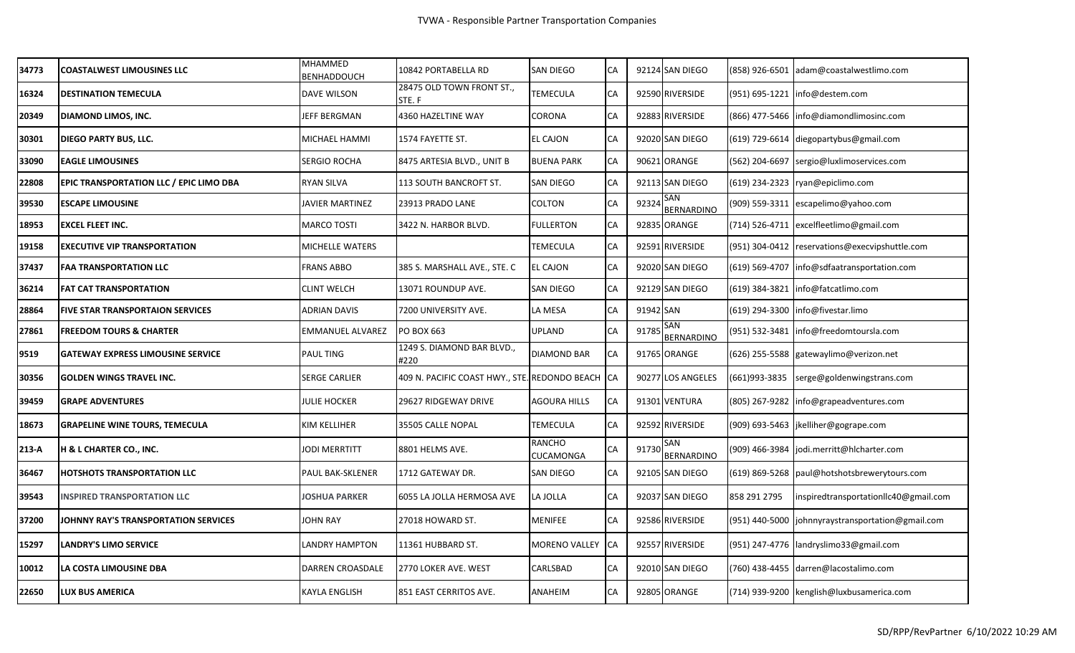| 34773   | <b>COASTALWEST LIMOUSINES LLC</b>              | <b>MHAMMED</b><br><b>BENHADDOUCH</b> | 10842 PORTABELLA RD                           | <b>SAN DIEGO</b>     | CA         |           | 92124 SAN DIEGO          |                | (858) 926-6501 adam@coastalwestlimo.com           |
|---------|------------------------------------------------|--------------------------------------|-----------------------------------------------|----------------------|------------|-----------|--------------------------|----------------|---------------------------------------------------|
| 16324   | <b>DESTINATION TEMECULA</b>                    | <b>DAVE WILSON</b>                   | 28475 OLD TOWN FRONT ST.,<br>STE. F           | TEMECULA             | CA         |           | 92590 RIVERSIDE          |                | (951) 695-1221  info@destem.com                   |
| 20349   | DIAMOND LIMOS, INC.                            | JEFF BERGMAN                         | 4360 HAZELTINE WAY                            | CORONA               | CA         |           | 92883 RIVERSIDE          |                | (866) 477-5466   info@diamondlimosinc.com         |
| 30301   | DIEGO PARTY BUS, LLC.                          | MICHAEL HAMMI                        | 1574 FAYETTE ST.                              | <b>EL CAJON</b>      | CA         |           | 92020 SAN DIEGO          |                | (619) 729-6614 diegopartybus@gmail.com            |
| 33090   | <b>EAGLE LIMOUSINES</b>                        | <b>SERGIO ROCHA</b>                  | 8475 ARTESIA BLVD., UNIT B                    | <b>BUENA PARK</b>    | СA         |           | 90621 ORANGE             |                | (562) 204-6697 sergio@luxlimoservices.com         |
| 22808   | <b>EPIC TRANSPORTATION LLC / EPIC LIMO DBA</b> | <b>RYAN SILVA</b>                    | 113 SOUTH BANCROFT ST.                        | <b>SAN DIEGO</b>     | CA         |           | 92113 SAN DIEGO          |                | (619) 234-2323 ryan@epiclimo.com                  |
| 39530   | <b>ESCAPE LIMOUSINE</b>                        | JAVIER MARTINEZ                      | 23913 PRADO LANE                              | COLTON               | CA         | 9232      | SAN<br><b>BERNARDINO</b> |                | (909) 559-3311 escapelimo@yahoo.com               |
| 18953   | <b>EXCEL FLEET INC.</b>                        | <b>MARCO TOSTI</b>                   | 3422 N. HARBOR BLVD.                          | <b>FULLERTON</b>     | CA         |           | 92835 ORANGE             |                | (714) 526-4711  excelfleetlimo@gmail.com          |
| 19158   | <b>EXECUTIVE VIP TRANSPORTATION</b>            | MICHELLE WATERS                      |                                               | <b>TEMECULA</b>      | CA         |           | 92591 RIVERSIDE          |                | (951) 304-0412 reservations@execvipshuttle.com    |
| 37437   | <b>FAA TRANSPORTATION LLC</b>                  | <b>FRANS ABBO</b>                    | 385 S. MARSHALL AVE., STE. C                  | <b>EL CAJON</b>      | CA         |           | 92020 SAN DIEGO          |                | (619) 569-4707 Info@sdfaatransportation.com       |
| 36214   | <b>FAT CAT TRANSPORTATION</b>                  | <b>CLINT WELCH</b>                   | 13071 ROUNDUP AVE.                            | <b>SAN DIEGO</b>     | CA         |           | 92129 SAN DIEGO          | (619) 384-3821 | info@fatcatlimo.com                               |
| 28864   | <b>FIVE STAR TRANSPORTAION SERVICES</b>        | <b>ADRIAN DAVIS</b>                  | 7200 UNIVERSITY AVE.                          | LA MESA              | CA         | 91942 SAN |                          | (619) 294-3300 | info@fivestar.limo                                |
| 27861   | <b>FREEDOM TOURS &amp; CHARTER</b>             | <b>EMMANUEL ALVAREZ</b>              | PO BOX 663                                    | <b>UPLAND</b>        | CA         | 9178      | SAN<br><b>BERNARDINO</b> | (951) 532-3481 | info@freedomtoursla.com                           |
| 9519    | <b>GATEWAY EXPRESS LIMOUSINE SERVICE</b>       | <b>PAUL TING</b>                     | 1249 S. DIAMOND BAR BLVD.,<br>#220            | <b>DIAMOND BAR</b>   | CA         |           | 91765 ORANGE             |                | (626) 255-5588 gatewaylimo@verizon.net            |
| 30356   | <b>GOLDEN WINGS TRAVEL INC.</b>                | SERGE CARLIER                        | 409 N. PACIFIC COAST HWY., STE. REDONDO BEACH |                      | <b>ICA</b> |           | 90277 LOS ANGELES        | (661)993-3835  | serge@goldenwingstrans.com                        |
| 39459   | <b>GRAPE ADVENTURES</b>                        | <b>JULIE HOCKER</b>                  | 29627 RIDGEWAY DRIVE                          | <b>AGOURA HILLS</b>  | СA         |           | 91301 VENTURA            |                | (805) 267-9282 info@grapeadventures.com           |
| 18673   | <b>GRAPELINE WINE TOURS, TEMECULA</b>          | KIM KELLIHER                         | 35505 CALLE NOPAL                             | TEMECULA             | CA         |           | 92592 RIVERSIDE          |                | (909) 693-5463 jkelliher@gogrape.com              |
| $213-A$ | <b>H &amp; L CHARTER CO., INC.</b>             | <b>JODI MERRTITT</b>                 | 8801 HELMS AVE.                               | RANCHO<br>CUCAMONGA  | СA         | 91730     | SAN<br><b>BERNARDINO</b> |                | (909) 466-3984 jodi.merritt@hlcharter.com         |
| 36467   | <b>HOTSHOTS TRANSPORTATION LLC</b>             | PAUL BAK-SKLENER                     | 1712 GATEWAY DR.                              | <b>SAN DIEGO</b>     | CA         |           | 92105 SAN DIEGO          |                | (619) 869-5268 paul@hotshotsbrewerytours.com      |
| 39543   | <b>INSPIRED TRANSPORTATION LLC</b>             | <b>JOSHUA PARKER</b>                 | 6055 LA JOLLA HERMOSA AVE                     | LA JOLLA             | СA         |           | 92037 SAN DIEGO          | 858 291 2795   | inspiredtransportationllc40@gmail.com             |
| 37200   | JOHNNY RAY'S TRANSPORTATION SERVICES           | JOHN RAY                             | 27018 HOWARD ST.                              | <b>MENIFEE</b>       | СA         |           | 92586 RIVERSIDE          |                | (951) 440-5000 johnnyraystransportation@gmail.com |
| 15297   | <b>LANDRY'S LIMO SERVICE</b>                   | LANDRY HAMPTON                       | 11361 HUBBARD ST.                             | <b>MORENO VALLEY</b> | <b>CA</b>  |           | 92557 RIVERSIDE          |                | (951) 247-4776 landryslimo33@gmail.com            |
| 10012   | LA COSTA LIMOUSINE DBA                         | DARREN CROASDALE                     | 2770 LOKER AVE. WEST                          | CARLSBAD             | CA         |           | 92010 SAN DIEGO          |                | (760) 438-4455 darren@lacostalimo.com             |
| 22650   | LUX BUS AMERICA                                | <b>KAYLA ENGLISH</b>                 | 851 EAST CERRITOS AVE.                        | ANAHEIM              | СA         |           | 92805 ORANGE             |                | (714) 939-9200 kenglish@luxbusamerica.com         |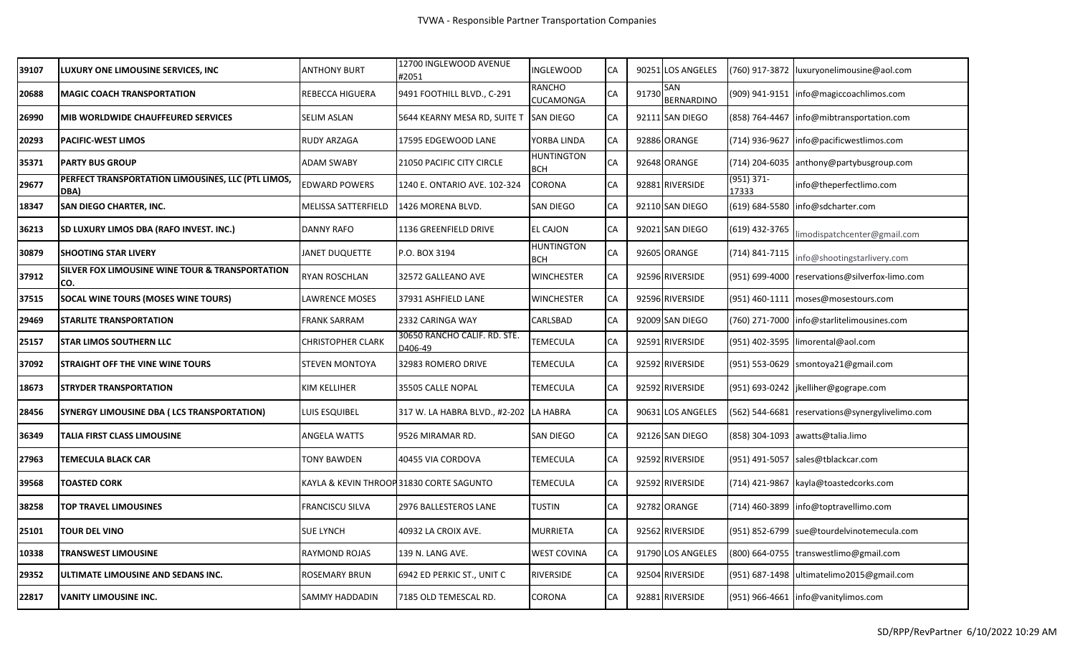| 39107 | <b>LUXURY ONE LIMOUSINE SERVICES, INC.</b>                         | <b>ANTHONY BURT</b> | 12700 INGLEWOOD AVENUE<br>#2051          | <b>NGLEWOOD</b>                 | CA |       | 90251 LOS ANGELES |                       | (760) 917-3872   luxuryonelimousine@aol.com     |
|-------|--------------------------------------------------------------------|---------------------|------------------------------------------|---------------------------------|----|-------|-------------------|-----------------------|-------------------------------------------------|
| 20688 | <b>MAGIC COACH TRANSPORTATION</b>                                  | REBECCA HIGUERA     | 9491 FOOTHILL BLVD., C-291               | RANCHO<br>CUCAMONGA             | СA | 91730 | SAN<br>BERNARDINO |                       | (909) 941-9151  info@magiccoachlimos.com        |
| 26990 | <b>IMIB WORLDWIDE CHAUFFEURED SERVICES</b>                         | SELIM ASLAN         | 5644 KEARNY MESA RD, SUITE T SAN DIEGO   |                                 | CA |       | 92111 SAN DIEGO   |                       | (858) 764-4467 Info@mibtransportation.com       |
| 20293 | <b>PACIFIC-WEST LIMOS</b>                                          | RUDY ARZAGA         | 17595 EDGEWOOD LANE                      | YORBA LINDA                     | CA |       | 92886 ORANGE      |                       | (714) 936-9627   info@pacificwestlimos.com      |
| 35371 | <b>PARTY BUS GROUP</b>                                             | <b>ADAM SWABY</b>   | 21050 PACIFIC CITY CIRCLE                | <b>HUNTINGTON</b><br>BCH        | CA |       | 92648 ORANGE      |                       | (714) 204-6035 anthony@partybusgroup.com        |
| 29677 | PERFECT TRANSPORTATION LIMOUSINES, LLC (PTL LIMOS,<br>DBA)         | EDWARD POWERS       | 1240 E. ONTARIO AVE. 102-324             | CORONA                          | CA |       | 92881 RIVERSIDE   | $(951)$ 371-<br>17333 | info@theperfectlimo.com                         |
| 18347 | SAN DIEGO CHARTER, INC.                                            | MELISSA SATTERFIELD | 1426 MORENA BLVD.                        | SAN DIEGO                       | CA |       | 92110 SAN DIEGO   |                       | (619) 684-5580   info@sdcharter.com             |
| 36213 | <b>SD LUXURY LIMOS DBA (RAFO INVEST. INC.)</b>                     | <b>DANNY RAFO</b>   | 1136 GREENFIELD DRIVE                    | <b>EL CAJON</b>                 | CA |       | 92021 SAN DIEGO   | (619) 432-3765        | limodispatchcenter@gmail.com                    |
| 30879 | <b>ISHOOTING STAR LIVERY</b>                                       | JANET DUQUETTE      | P.O. BOX 3194                            | <b>HUNTINGTON</b><br><b>BCH</b> | CA |       | 92605 ORANGE      | (714) 841-7115        | info@shootingstarlivery.com                     |
| 37912 | <b>SILVER FOX LIMOUSINE WINE TOUR &amp; TRANSPORTATION</b><br>Ico. | RYAN ROSCHLAN       | 32572 GALLEANO AVE                       | <b>WINCHESTER</b>               | CA |       | 92596 RIVERSIDE   |                       | (951) 699-4000 reservations@silverfox-limo.com  |
| 37515 | SOCAL WINE TOURS (MOSES WINE TOURS)                                | LAWRENCE MOSES      | 37931 ASHFIELD LANE                      | <b>WINCHESTER</b>               | CA |       | 92596 RIVERSIDE   |                       | (951) 460-1111 moses@mosestours.com             |
| 29469 | <b>STARLITE TRANSPORTATION</b>                                     | FRANK SARRAM        | 2332 CARINGA WAY                         | CARLSBAD                        | CA |       | 92009 SAN DIEGO   |                       | (760) 271-7000 info@starlitelimousines.com      |
| 25157 | <b>STAR LIMOS SOUTHERN LLC</b>                                     | CHRISTOPHER CLARK   | 30650 RANCHO CALIF. RD. STE.<br>D406-49  | TEMECULA                        | CA |       | 92591 RIVERSIDE   |                       | (951) 402-3595 limorental@aol.com               |
| 37092 | <b>STRAIGHT OFF THE VINE WINE TOURS</b>                            | STEVEN MONTOYA      | 32983 ROMERO DRIVE                       | TEMECULA                        | CA |       | 92592 RIVERSIDE   |                       | (951) 553-0629 smontoya21@gmail.com             |
| 18673 | <b>STRYDER TRANSPORTATION</b>                                      | KIM KELLIHER        | 35505 CALLE NOPAL                        | TEMECULA                        | CA |       | 92592 RIVERSIDE   |                       | (951) 693-0242 jkelliher@gogrape.com            |
| 28456 | <b>SYNERGY LIMOUSINE DBA (LCS TRANSPORTATION)</b>                  | LUIS ESQUIBEL       | 317 W. LA HABRA BLVD., #2-202            | LA HABRA                        | CA |       | 90631 LOS ANGELES |                       | (562) 544-6681 reservations@synergylivelimo.com |
| 36349 | <b>TALIA FIRST CLASS LIMOUSINE</b>                                 | <b>ANGELA WATTS</b> | 9526 MIRAMAR RD.                         | SAN DIEGO                       | CA |       | 92126 SAN DIEGO   |                       | (858) 304-1093 awatts@talia.limo                |
| 27963 | TEMECULA BLACK CAR                                                 | TONY BAWDEN         | 40455 VIA CORDOVA                        | TEMECULA                        | CA |       | 92592 RIVERSIDE   |                       | (951) 491-5057 sales@tblackcar.com              |
| 39568 | <b>TOASTED CORK</b>                                                |                     | KAYLA & KEVIN THROOP 31830 CORTE SAGUNTO | TEMECULA                        | CA |       | 92592 RIVERSIDE   |                       | (714) 421-9867 kayla@toastedcorks.com           |
| 38258 | <b>TOP TRAVEL LIMOUSINES</b>                                       | FRANCISCU SILVA     | 2976 BALLESTEROS LANE                    | TUSTIN                          | CA |       | 92782 ORANGE      |                       | (714) 460-3899 info@toptravellimo.com           |
| 25101 | <b>TOUR DEL VINO</b>                                               | <b>SUE LYNCH</b>    | 40932 LA CROIX AVE.                      | MURRIETA                        | CA |       | 92562 RIVERSIDE   |                       | (951) 852-6799 sue@tourdelvinotemecula.com      |
| 10338 | <b>TRANSWEST LIMOUSINE</b>                                         | RAYMOND ROJAS       | 139 N. LANG AVE.                         | <b>WEST COVINA</b>              | CA |       | 91790 LOS ANGELES |                       | (800) 664-0755 transwestlimo@gmail.com          |
| 29352 | <b>JULTIMATE LIMOUSINE AND SEDANS INC.</b>                         | ROSEMARY BRUN       | 6942 ED PERKIC ST., UNIT C               | RIVERSIDE                       | CA |       | 92504 RIVERSIDE   |                       | (951) 687-1498 ultimatelimo2015@gmail.com       |
| 22817 | <b>VANITY LIMOUSINE INC.</b>                                       | SAMMY HADDADIN      | 7185 OLD TEMESCAL RD.                    | CORONA                          | CA |       | 92881 RIVERSIDE   |                       | (951) 966-4661 info@vanitylimos.com             |